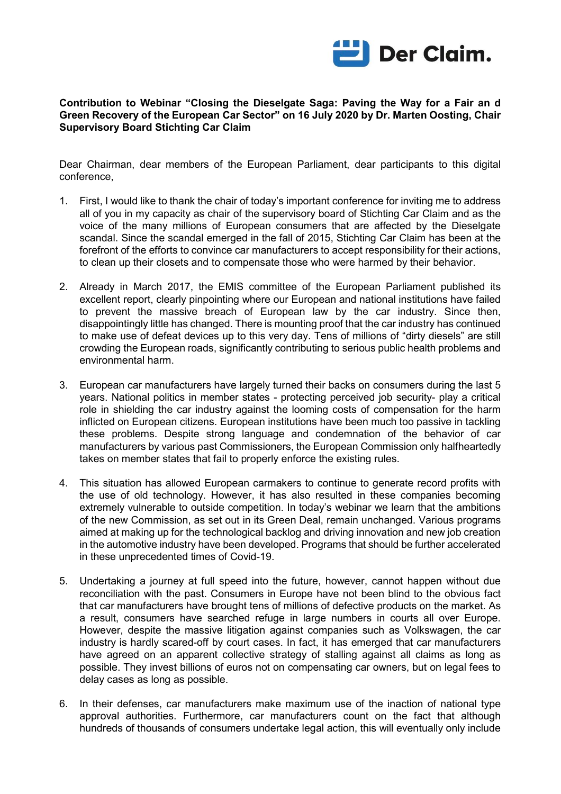

## **Contribution to Webinar "Closing the Dieselgate Saga: Paving the Way for a Fair an d Green Recovery of the European Car Sector" on 16 July 2020 by Dr. Marten Oosting, Chair Supervisory Board Stichting Car Claim**

Dear Chairman, dear members of the European Parliament, dear participants to this digital conference,

- 1. First, I would like to thank the chair of today's important conference for inviting me to address all of you in my capacity as chair of the supervisory board of Stichting Car Claim and as the voice of the many millions of European consumers that are affected by the Dieselgate scandal. Since the scandal emerged in the fall of 2015, Stichting Car Claim has been at the forefront of the efforts to convince car manufacturers to accept responsibility for their actions, to clean up their closets and to compensate those who were harmed by their behavior.
- 2. Already in March 2017, the EMIS committee of the European Parliament published its excellent report, clearly pinpointing where our European and national institutions have failed to prevent the massive breach of European law by the car industry. Since then, disappointingly little has changed. There is mounting proof that the car industry has continued to make use of defeat devices up to this very day. Tens of millions of "dirty diesels" are still crowding the European roads, significantly contributing to serious public health problems and environmental harm.
- 3. European car manufacturers have largely turned their backs on consumers during the last 5 years. National politics in member states - protecting perceived job security- play a critical role in shielding the car industry against the looming costs of compensation for the harm inflicted on European citizens. European institutions have been much too passive in tackling these problems. Despite strong language and condemnation of the behavior of car manufacturers by various past Commissioners, the European Commission only halfheartedly takes on member states that fail to properly enforce the existing rules.
- 4. This situation has allowed European carmakers to continue to generate record profits with the use of old technology. However, it has also resulted in these companies becoming extremely vulnerable to outside competition. In today's webinar we learn that the ambitions of the new Commission, as set out in its Green Deal, remain unchanged. Various programs aimed at making up for the technological backlog and driving innovation and new job creation in the automotive industry have been developed. Programs that should be further accelerated in these unprecedented times of Covid-19.
- 5. Undertaking a journey at full speed into the future, however, cannot happen without due reconciliation with the past. Consumers in Europe have not been blind to the obvious fact that car manufacturers have brought tens of millions of defective products on the market. As a result, consumers have searched refuge in large numbers in courts all over Europe. However, despite the massive litigation against companies such as Volkswagen, the car industry is hardly scared-off by court cases. In fact, it has emerged that car manufacturers have agreed on an apparent collective strategy of stalling against all claims as long as possible. They invest billions of euros not on compensating car owners, but on legal fees to delay cases as long as possible.
- 6. In their defenses, car manufacturers make maximum use of the inaction of national type approval authorities. Furthermore, car manufacturers count on the fact that although hundreds of thousands of consumers undertake legal action, this will eventually only include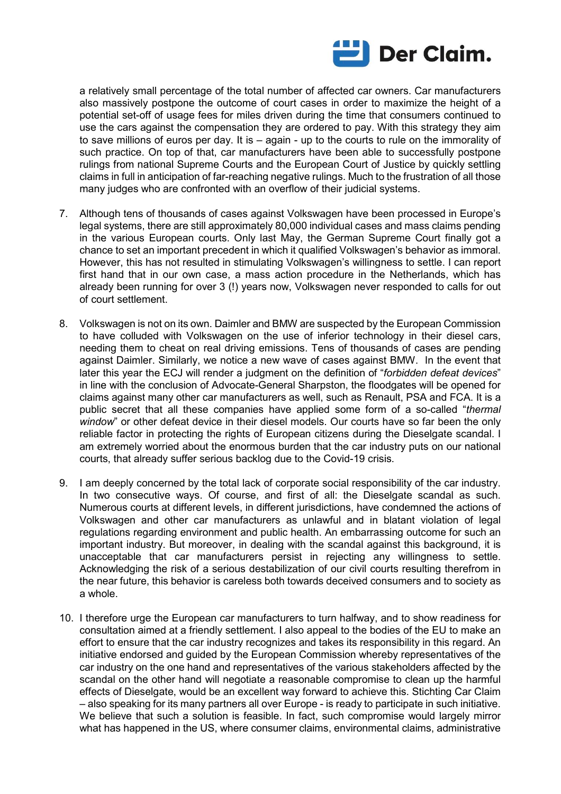

a relatively small percentage of the total number of affected car owners. Car manufacturers also massively postpone the outcome of court cases in order to maximize the height of a potential set-off of usage fees for miles driven during the time that consumers continued to use the cars against the compensation they are ordered to pay. With this strategy they aim to save millions of euros per day. It is – again - up to the courts to rule on the immorality of such practice. On top of that, car manufacturers have been able to successfully postpone rulings from national Supreme Courts and the European Court of Justice by quickly settling claims in full in anticipation of far-reaching negative rulings. Much to the frustration of all those many judges who are confronted with an overflow of their judicial systems.

- 7. Although tens of thousands of cases against Volkswagen have been processed in Europe's legal systems, there are still approximately 80,000 individual cases and mass claims pending in the various European courts. Only last May, the German Supreme Court finally got a chance to set an important precedent in which it qualified Volkswagen's behavior as immoral. However, this has not resulted in stimulating Volkswagen's willingness to settle. I can report first hand that in our own case, a mass action procedure in the Netherlands, which has already been running for over 3 (!) years now, Volkswagen never responded to calls for out of court settlement.
- 8. Volkswagen is not on its own. Daimler and BMW are suspected by the European Commission to have colluded with Volkswagen on the use of inferior technology in their diesel cars, needing them to cheat on real driving emissions. Tens of thousands of cases are pending against Daimler. Similarly, we notice a new wave of cases against BMW. In the event that later this year the ECJ will render a judgment on the definition of "*forbidden defeat devices*" in line with the conclusion of Advocate-General Sharpston, the floodgates will be opened for claims against many other car manufacturers as well, such as Renault, PSA and FCA. It is a public secret that all these companies have applied some form of a so-called "*thermal window*" or other defeat device in their diesel models. Our courts have so far been the only reliable factor in protecting the rights of European citizens during the Dieselgate scandal. I am extremely worried about the enormous burden that the car industry puts on our national courts, that already suffer serious backlog due to the Covid-19 crisis.
- 9. I am deeply concerned by the total lack of corporate social responsibility of the car industry. In two consecutive ways. Of course, and first of all: the Dieselgate scandal as such. Numerous courts at different levels, in different jurisdictions, have condemned the actions of Volkswagen and other car manufacturers as unlawful and in blatant violation of legal regulations regarding environment and public health. An embarrassing outcome for such an important industry. But moreover, in dealing with the scandal against this background, it is unacceptable that car manufacturers persist in rejecting any willingness to settle. Acknowledging the risk of a serious destabilization of our civil courts resulting therefrom in the near future, this behavior is careless both towards deceived consumers and to society as a whole.
- 10. I therefore urge the European car manufacturers to turn halfway, and to show readiness for consultation aimed at a friendly settlement. I also appeal to the bodies of the EU to make an effort to ensure that the car industry recognizes and takes its responsibility in this regard. An initiative endorsed and guided by the European Commission whereby representatives of the car industry on the one hand and representatives of the various stakeholders affected by the scandal on the other hand will negotiate a reasonable compromise to clean up the harmful effects of Dieselgate, would be an excellent way forward to achieve this. Stichting Car Claim – also speaking for its many partners all over Europe - is ready to participate in such initiative. We believe that such a solution is feasible. In fact, such compromise would largely mirror what has happened in the US, where consumer claims, environmental claims, administrative